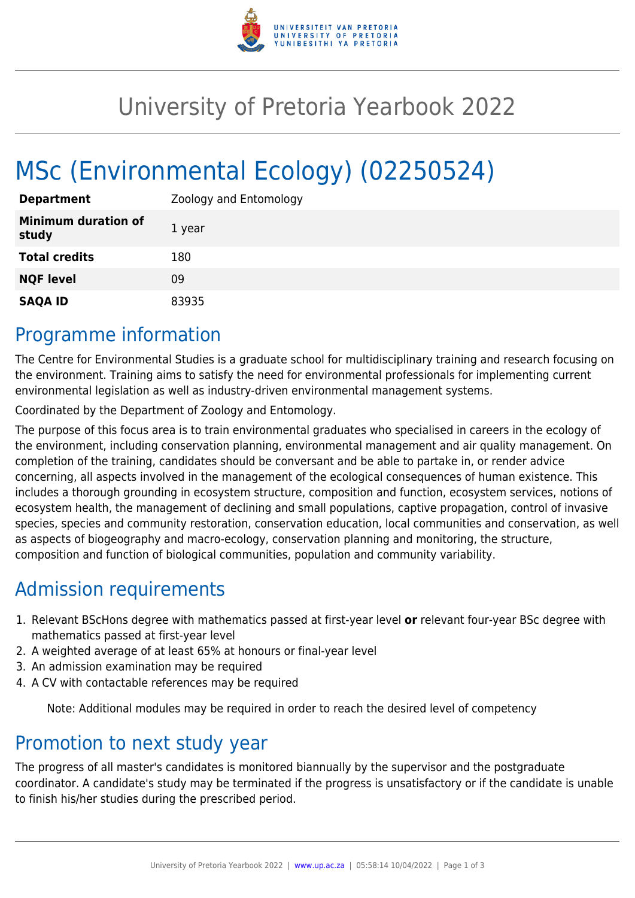

## University of Pretoria Yearbook 2022

# MSc (Environmental Ecology) (02250524)

| <b>Department</b>                   | Zoology and Entomology |
|-------------------------------------|------------------------|
| <b>Minimum duration of</b><br>study | 1 year                 |
| <b>Total credits</b>                | 180                    |
| <b>NQF level</b>                    | 09                     |
| <b>SAQA ID</b>                      | 83935                  |

#### Programme information

The Centre for Environmental Studies is a graduate school for multidisciplinary training and research focusing on the environment. Training aims to satisfy the need for environmental professionals for implementing current environmental legislation as well as industry-driven environmental management systems.

Coordinated by the Department of Zoology and Entomology.

The purpose of this focus area is to train environmental graduates who specialised in careers in the ecology of the environment, including conservation planning, environmental management and air quality management. On completion of the training, candidates should be conversant and be able to partake in, or render advice concerning, all aspects involved in the management of the ecological consequences of human existence. This includes a thorough grounding in ecosystem structure, composition and function, ecosystem services, notions of ecosystem health, the management of declining and small populations, captive propagation, control of invasive species, species and community restoration, conservation education, local communities and conservation, as well as aspects of biogeography and macro-ecology, conservation planning and monitoring, the structure, composition and function of biological communities, population and community variability.

### Admission requirements

- 1. Relevant BScHons degree with mathematics passed at first-year level **or** relevant four-year BSc degree with mathematics passed at first-year level
- 2. A weighted average of at least 65% at honours or final-year level
- 3. An admission examination may be required
- 4. A CV with contactable references may be required

Note: Additional modules may be required in order to reach the desired level of competency

#### Promotion to next study year

The progress of all master's candidates is monitored biannually by the supervisor and the postgraduate coordinator. A candidate's study may be terminated if the progress is unsatisfactory or if the candidate is unable to finish his/her studies during the prescribed period.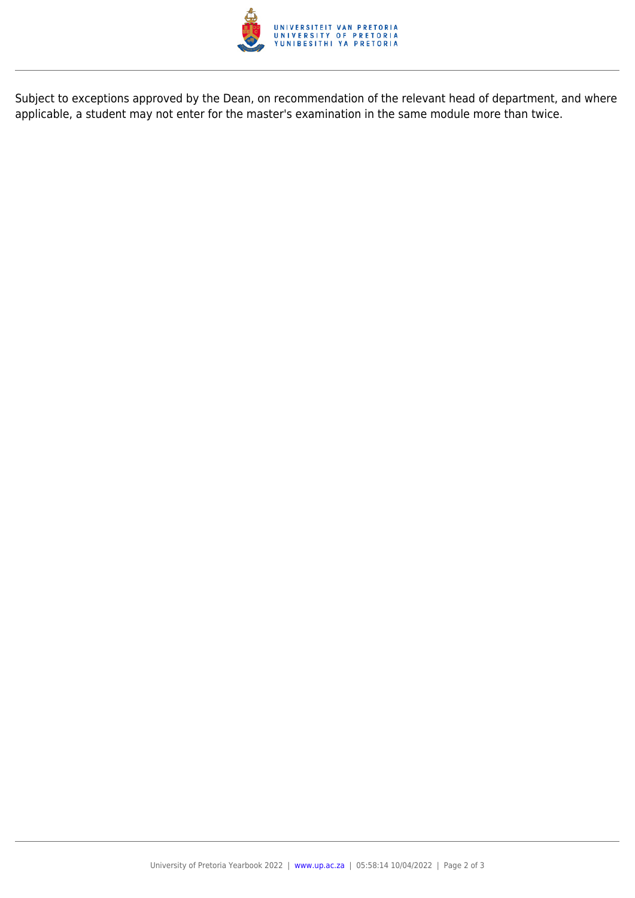

Subject to exceptions approved by the Dean, on recommendation of the relevant head of department, and where applicable, a student may not enter for the master's examination in the same module more than twice.